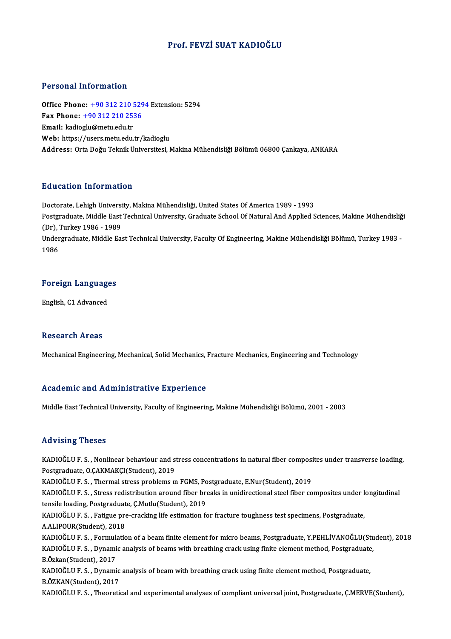## Prof. FEVZİ SUAT KADIOĞLU

### Personal Information

Office Phone: +90 312 210 5294 Extension: 5294 Fax Phone: <u>+90 312 210 529</u><br>Fax Phone: <u>+90 312 210 529</u><br>Fax Phone: <u>+90 312 210 2536</u> Office Phone: <u>+90 312 210 !</u><br>Fax Phone: <u>+90 312 210 25:</u><br>Email: kadio[glu@metu.edu.tr](tel:+90 312 210 2536) Email: kadioglu@metu.edu.tr<br>Web: https://users.metu.edu.tr/kadioglu Address: OrtaDoğuTeknikÜniversitesi,MakinaMühendisliğiBölümü 06800Çankaya,ANKARA

## Education Information

<mark>Education Information</mark><br>Doctorate, Lehigh University, Makina Mühendisliği, United States Of America 1989 - 1993<br>Postsraduate Middle Fast Technisel University, Craduate School Of Natural And Annlied S Pu u outron Trivon inutron<br>Doctorate, Lehigh University, Makina Mühendisliği, United States Of America 1989 - 1993<br>Postgraduate, Middle East Technical University, Graduate School Of Natural And Applied Sciences, Makine Müh Doctorate, Lehigh Universi<br>Postgraduate, Middle East<br>(Dr), Turkey 1986 - 1989<br>Undergraduate, Middle Fa Postgraduate, Middle East Technical University, Graduate School Of Natural And Applied Sciences, Makine Mühendisliğ<br>(Dr), Turkey 1986 - 1989<br>Undergraduate, Middle East Technical University, Faculty Of Engineering, Makine M (Dr), Turkey 1986 - 1989<br>Undergraduate, Middle East Technical University, Faculty Of Engineering, Makine Mühendisliği Bölümü, Turkey 1983 -<br>1986

1<sup>986</sup><br>Foreign Languages <mark>Foreign Languag</mark><br>English, C1 Advanced

English, C1 Advanced<br>Research Areas

Mechanical Engineering, Mechanical, Solid Mechanics, Fracture Mechanics, Engineering and Technology

### Academic and Administrative Experience

MiddleEastTechnicalUniversity,Faculty ofEngineering,MakineMühendisliğiBölümü,2001 -2003

### Advising Theses

Advising Theses<br>KADIOĞLU F.S. , Nonlinear behaviour and stress concentrations in natural fiber composites under transverse loading,<br>Postsraduate O.CAKMAKCI(Student), 2019 raa viering virosos<br>KADIOĞLU F. S. , Nonlinear behaviour and s<br>Postgraduate, O.ÇAKMAKÇI(Student), 2019<br>KADIOĞLU E. S., Thermal stress problems u KADIOĞLU F. S. , Nonlinear behaviour and stress concentrations in natural fiber composi<br>Postgraduate, O.ÇAKMAKÇI(Student), 2019<br>KADIOĞLU F. S. , Thermal stress problems ın FGMS, Postgraduate, E.Nur(Student), 2019<br>KADIOĞLU

Postgraduate, O.ÇAKMAKÇI(Student), 2019<br>KADIOĞLU F. S. , Thermal stress problems in FGMS, Postgraduate, E.Nur(Student), 2019<br>KADIOĞLU F. S. , Stress redistribution around fiber breaks in unidirectional steel fiber composit KADIOĞLU F. S. , Thermal stress problems in FGMS, Po<br>KADIOĞLU F. S. , Stress redistribution around fiber bro<br>tensile loading, Postgraduate, Ç.Mutlu(Student), 2019<br>KADIOĞLU F. S., Fotizue pre sreeking life estimation fe

KADIOĞLU F. S. , Stress redistribution around fiber breaks in unidirectional steel fiber composites under lett<br>tensile loading, Postgraduate, Ç.Mutlu(Student), 2019<br>KADIOĞLU F. S. , Fatigue pre-cracking life estimation for tensile loading, Postgraduate, Ç.Mutlu(Student), 2019<br>KADIOĞLU F. S. , Fatigue pre-cracking life estimation for fracture toughness test specimens, Postgraduate,<br>A.ALIPOUR(Student), 2018 KADIOĞLU F. S. , Fatigue pre-cracking life estimation for fracture toughness test specimens, Postgraduate,<br>A.ALIPOUR(Student), 2018<br>KADIOĞLU F. S. , Formulation of a beam finite element for micro beams, Postgraduate, Y.PEH

A.ALIPOUR(Student), 2018<br>KADIOĞLU F. S. , Formulation of a beam finite element for micro beams, Postgraduate, Y.PEHLİVANOĞLU(Stu<br>KADIOĞLU F. S. , Dynamic analysis of beams with breathing crack using finite element method, KADIOĞLU F. S. , Formul:<br>KADIOĞLU F. S. , Dynami<br>B.Özkan(Student), 2017<br>KADIOĞLU F. S. , Dynami KADIOĞLU F. S. , Dynamic analysis of beams with breathing crack using finite element method, Postgraduate, B.Özkan(Student), 2017<br>KADIOĞLU F. S. , Dynamic analysis of beam with breathing crack using finite element method, B.ÖZKAN(Student),2017

KADIOĞLUF.S., Theoretical and experimental analyses of compliant universal joint, Postgraduate, Ç.MERVE(Student),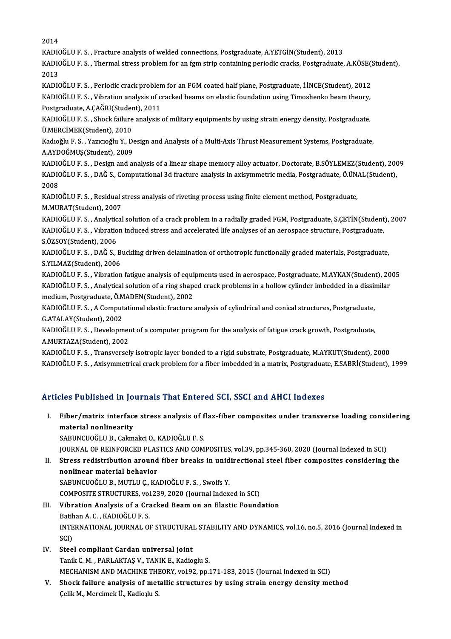2014 2014<br>KADIOĞLU F. S. , Fracture analysis of welded connections, Postgraduate, A.YETGİN(Student), 2013<br>KADIOĞLU F. S., Thormal stress problem for an formatrin senteining periodis sraska Pestgraduate KADIOĞLU F. S. , Thermal stress problem for an fgm strip containing periodic cracks, Postgraduate, A.KÖSE(Student),<br>2013 KADI<mark>(</mark><br>KADI(<br>2013 KADIOĞLU F. S. , Thermal stress problem for an fgm strip containing periodic cracks, Postgraduate, A.KÖSE(:<br>2013<br>KADIOĞLU F. S. , Periodic crack problem for an FGM coated half plane, Postgraduate, İ.İNCE(Student), 2012<br>KAD 2013<br>KADIOĞLU F. S. , Periodic crack problem for an FGM coated half plane, Postgraduate, İ.İNCE(Student), 2012<br>KADIOĞLU F. S. , Vibration analysis of cracked beams on elastic foundation using Timoshenko beam theory,<br>Postsr KADIOĞLU F. S. , Periodic crack problen<br>KADIOĞLU F. S. , Vibration analysis of c<br>Postgraduate, A.ÇAĞRI(Student), 2011<br>KADIOĞLU F. S., Shock failure analysis KADIOĞLU F. S. , Vibration analysis of cracked beams on elastic foundation using Timoshenko beam theory,<br>Postgraduate, A.ÇAĞRI(Student), 2011<br>KADIOĞLU F. S. , Shock failure analysis of military equipments by using strain e Postgraduate, A.ÇAĞRI(Student), 2011 KADIOĞLU F. S. , Shock failure analysis of military equipments by using strain energy density, Postgraduate,<br>Ü.MERCİMEK(Student), 2010<br>Kadıoğlu F. S. , Yazıcıoğlu Y., Design and Analysis of a Multi-Axis Thrust Measurement Ü.MERCİMEK(Student), 2010<br>Kadıoğlu F. S. , Yazıcıoğlu Y., De<br>A.AYDOĞMUŞ(Student), 2009<br>KADIOĞLU E. S. Desismender A.AYDOĞMUŞ(Student), 2009<br>KADIOĞLU F. S. , Design and analysis of a linear shape memory alloy actuator, Doctorate, B.SÖYLEMEZ(Student), 2009 A.AYDOĞMUŞ(Student), 2009<br>KADIOĞLU F. S. , Design and analysis of a linear shape memory alloy actuator, Doctorate, B.SÖYLEMEZ(Student), 200<br>KADIOĞLU F. S. , DAĞ S., Computational 3d fracture analysis in axisymmetric media, KADI<mark>(</mark><br>KADI(<br>2008<br>KADI( KADIOĞLU F. S. , DAĞ S., Computational 3d fracture analysis in axisymmetric media, Postgraduate, Ö.ÜN.<br>2008<br>KADIOĞLU F. S. , Residual stress analysis of riveting process using finite element method, Postgraduate,<br>M.MURAT(S 2008<br>KADIOĞLU F. S. , Residual stress analysis of riveting process using finite element method, Postgraduate,<br>M.MURAT(Student), 2007 KADIOĞLU F. S. , Residual stress analysis of riveting process using finite element method, Postgraduate,<br>M.MURAT(Student), 2007<br>KADIOĞLU F. S. , Analytical solution of a crack problem in a radially graded FGM, Postgraduate M.MURAT(Student), 2007<br>KADIOĞLU F. S. , Analytical solution of a crack problem in a radially graded FGM, Postgraduate, S.ÇETİN(Student<br>KADIOĞLU F. S. , Vıbration induced stress and accelerated life analyses of an aerospace KADIOĞLU F. S. , Analytic<br>KADIOĞLU F. S. , Vıbratio<br>S.ÖZSOY(Student), 2006<br>KADIOĞLU F. S., DAĞ S. 1 KADIOĞLU F. S. , Vıbration induced stress and accelerated life analyses of an aerospace structure, Postgraduate,<br>S.ÖZSOY(Student), 2006<br>KADIOĞLU F. S. , DAĞ S., Buckling driven delamination of orthotropic functionally grad S.ÖZSOY(Student), 2006<br>KADIOĞLU F. S. , DAĞ S., B<br>S.YILMAZ(Student), 2006<br>KADIOĞLU F. S., Vihration KADIOĞLU F. S. , DAĞ S., Buckling driven delamination of orthotropic functionally graded materials, Postgraduate,<br>S.YILMAZ(Student), 2006<br>KADIOĞLU F. S. , Vibration fatigue analysis of equipments used in aerospace, Postgra S.YILMAZ(Student), 2006<br>KADIOĞLU F. S. , Vibration fatigue analysis of equipments used in aerospace, Postgraduate, M.AYKAN(Student), 20<br>KADIOĞLU F. S. , Analytical solution of a ring shaped crack problems in a hollow cylin KADIOĞLU F. S. , Vibration fatigue analysis of equi<br>KADIOĞLU F. S. , Analytical solution of a ring shap<br>medium, Postgraduate, Ö.MADEN(Student), 2002<br>KADIOĞLU E. S. A Computational olastis frasture. KADIOĞLU F. S. , Analytical solution of a ring shaped crack problems in a hollow cylinder imbedded in a dissin<br>medium, Postgraduate, Ö.MADEN(Student), 2002<br>KADIOĞLU F. S. , A Computational elastic fracture analysis of cyli medium, Postgraduate, Ö.MADEN(Student), 2002<br>KADIOĞLU F. S. , A Computational elastic fracture analysis of cylindrical and conical structures, Postgraduate,<br>G.ATALAY(Student), 2002 KADIOĞLU F. S. , A Computational elastic fracture analysis of cylindrical and conical structures, Postgraduate,<br>G.ATALAY(Student), 2002<br>KADIOĞLU F. S. , Development of a computer program for the analysis of fatigue crack g G.ATALAY(Student), 2002<br>KADIOĞLU F. S. , Developmer<br>A.MURTAZA(Student), 2002<br>KADIOĞLU F. S. , Transversel KADIOĞLU F. S. , Development of a computer program for the analysis of fatigue crack growth, Postgraduate,<br>A.MURTAZA(Student), 2002<br>KADIOĞLU F. S. , Transversely isotropic layer bonded to a rigid substrate, Postgraduate, M A.MURTAZA(Student), 2002<br>KADIOĞLU F. S. , Transversely isotropic layer bonded to a rigid substrate, Postgraduate, M.AYKUT(Student), 2000<br>KADIOĞLU F. S. , Axisymmetrical crack problem for a fiber imbedded in a matrix, Postg KADIOĞLU F. S. , Axisymmetrical crack problem for a fiber imbedded in a matrix, Postgraduate, E.SABRİ(Student), 1999<br>Articles Published in Journals That Entered SCI, SSCI and AHCI Indexes

- rticles Published in Journals That Entered SCI, SSCI and AHCI Indexes<br>I. Fiber/matrix interface stress analysis of flax-fiber composites under transverse loading considering<br>material poplines ity material nonlinearity<br>Fiber/matrix interface<br>SABUNCUOČU I B. Colm Fiber/matrix interface stress analysis of f<br>material nonlinearity<br>SABUNCUOĞLU B., Cakmakci O., KADIOĞLU F. S.<br>JOUPNAL OE PEINEOPCED BLASTICS AND COM material nonlinearity<br>SABUNCUOĞLU B., Cakmakci O., KADIOĞLU F. S.<br>JOURNAL OF REINFORCED PLASTICS AND COMPOSITES, vol.39, pp.345-360, 2020 (Journal Indexed in SCI) SABUNCUOĞLU B., Cakmakci O., KADIOĞLU F. S.<br>JOURNAL OF REINFORCED PLASTICS AND COMPOSITES, vol.39, pp.345-360, 2020 (Journal Indexed in SCI)<br>II. Stress redistribution around fiber breaks in unidirectional steel fiber compo
- **JOURNAL OF REINFORCED PLAS<br>Stress redistribution around<br>nonlinear material behavior<br>SARUNCUOČLU R. MUTU U.C. KA** Stress redistribution around fiber breaks in unid<br>nonlinear material behavior<br>SABUNCUOĞLU B., MUTLU Ç., KADIOĞLU F. S. , Swolfs Y.<br>COMPOSITE STRUCTURES, vel 229, 2020 (Journal Index nonlinear material behavior<br>SABUNCUOĞLU B., MUTLU Ç., KADIOĞLU F. S. , Swolfs Y.<br>COMPOSITE STRUCTURES, vol.239, 2020 (Journal Indexed in SCI)<br>Vibration Analysis of a Crasked Beam on an Elastis Found SABUNCUOĞLU B., MUTLU Ç., KADIOĞLU F. S. , Swolfs Y.<br>COMPOSITE STRUCTURES, vol.239, 2020 (Journal Indexed in SCI)<br>III. Vibration Analysis of a Cracked Beam on an Elastic Foundation<br>Batihan A. C. , KADIOĞLU F. S.
- COMPOSITE STRUCTURES, vol<br>Vibration Analysis of a Cra<br>Batihan A. C. , KADIOĞLU F. S.<br>INTERNATIONAL JOURNAL OL Vibration Analysis of a Cracked Beam on an Elastic Foundation<br>Batihan A. C. , KADIOĞLU F. S.<br>INTERNATIONAL JOURNAL OF STRUCTURAL STABILITY AND DYNAMICS, vol.16, no.5, 2016 (Journal Indexed in<br>SCD Batih<br>INTE<br>SCI)<br>Staa INTERNATIONAL JOURNAL OF STRUCTURAL<br>SCI)<br>IV. Steel compliant Cardan universal joint<br>Tapik C.M., BABLAKTAS V. TANIK E. Kadia
- SCI)<br>IV. Steel compliant Cardan universal joint<br>Tanik C. M. , PARLAKTAŞ V., TANIK E., Kadioglu S. Steel compliant Cardan universal joint<br>Tanik C. M. , PARLAKTAŞ V., TANIK E., Kadioglu S.<br>MECHANISM AND MACHINE THEORY, vol.92, pp.171-183, 2015 (Journal Indexed in SCI)<br>Shack failure analysis of metallis structures by usin
- V. Shock failure analysis of metallic structures by using strain energy density method Celik M., Mercimek Ü., Kadioplu S. MECHANISM AND MACHINE THI<br><mark>Shock failure analysis of met</mark><br>Çelik M., Mercimek Ü., Kadio<sub>l</sub>lu S.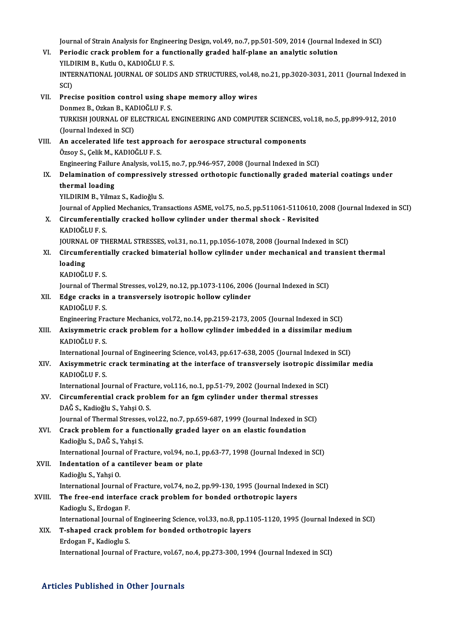Journal of Strain Analysis for Engineering Design, vol.49, no.7, pp.501-509, 2014 (Journal Indexed in SCI)<br>Periodis spask problem for a functionally spaded half plane an analytic solution Journal of Strain Analysis for Engineering Design, vol.49, no.7, pp.501-509, 2014 (Journal In<br>VI. Periodic crack problem for a functionally graded half-plane an analytic solution<br>VILDIPIM R, Kantoči U.E.S Journal of Strain Analysis for Enginee<br>Periodic crack problem for a func<br>YILDIRIM B., Kutlu O., KADIOĞLU F. S.<br>INTERNATIONAL JOURNAL OE SOLID VI. Periodic crack problem for a functionally graded half-plane an analytic solution<br>YILDIRIM B., Kutlu O., KADIOĞLU F. S.<br>INTERNATIONAL JOURNAL OF SOLIDS AND STRUCTURES, vol.48, no.21, pp.3020-3031, 2011 (Journal Indexed YILDIRIM B., Kutlu O., KADIOĞLU F. S. INTERNATIONAL JOURNAL OF SOLIDS AND STRUCTURES, vol.48,<br>SCI)<br>VII. Precise position control using shape memory alloy wires<br>Denmer B. Orkan B. KADIOČLU E.S. SCI)<br>Precise position control using sh<br>Donmez B., Ozkan B., KADIOĞLU F. S.<br>TURKISH JOURNAL OF ELECTRICAL I TURKISH JOURNAL OF ELECTRICAL ENGINEERING AND COMPUTER SCIENCES, vol.18, no.5, pp.899-912, 2010<br>(Journal Indexed in SCI) Donmez B., Ozkan B., KADIOĞLU F. S. TURKISH JOURNAL OF ELECTRICAL ENGINEERING AND COMPUTER SCIENCES, ve<br>(Journal Indexed in SCI)<br>VIII. An accelerated life test approach for aerospace structural components<br> $\delta$ geov S. Celik M. KADIOČLU E. S. (Journal Indexed in SCI)<br>An accelerated life test appro<br>Özsoy S., Çelik M., KADIOĞLU F. S.<br>Engineering Feilure Analysis vel An accelerated life test approach for aerospace structural components<br>Özsoy S., Çelik M., KADIOĞLU F. S.<br>Engineering Failure Analysis, vol.15, no.7, pp.946-957, 2008 (Journal Indexed in SCI)<br>Delemination of compressively s Özsoy S., Çelik M., KADIOĞLU F. S.<br>Engineering Failure Analysis, vol.15, no.7, pp.946-957, 2008 (Journal Indexed in SCI)<br>IX. Delamination of compressively stressed orthotopic functionally graded material coatings under Engineering Failur<br>Delamination of<br>thermal loading<br>YU DIPIM P. Vilmo Delamination of compressively<br>thermal loading<br>YILDIRIM B., Yilmaz S., Kadioğlu S.<br>Journal of Annlied Mechanics Troy thermal loading<br>YILDIRIM B., Yilmaz S., Kadioğlu S.<br>Journal of Applied Mechanics, Transactions ASME, vol.75, no.5, pp.511061-5110610, 2008 (Journal Indexed in SCI) YILDIRIM B., Yilmaz S., Kadioğlu S.<br>Journal of Applied Mechanics, Transactions ASME, vol.75, no.5, pp.511061-5110610, 2<br>X. Circumferentially cracked hollow cylinder under thermal shock - Revisited<br>KADIOČULE S. Journal of Appli<br><mark>Circumferenti</mark><br>KADIOĞLU F. S.<br>JOUPNAL OF TE Circumferentially cracked hollow cylinder under thermal shock - Revisited<br>KADIOĞLU F. S.<br>JOURNAL OF THERMAL STRESSES, vol.31, no.11, pp.1056-1078, 2008 (Journal Indexed in SCI)<br>Circumferentially specked bimeterial hollow s KADIOĞLU F. S.<br>JOURNAL OF THERMAL STRESSES, vol.31, no.11, pp.1056-1078, 2008 (Journal Indexed in SCI)<br>XI. Circumferentially cracked bimaterial hollow cylinder under mechanical and transient thermal<br>looding **JOURNAL<br>Circumf<br>loading<br>KADIOČI** Circumferenti<br>loading<br>KADIOĞLU F. S.<br>Journal of Ther loading<br>KADIOĞLU F. S.<br>Journal of Thermal Stresses, vol.29, no.12, pp.1073-1106, 2006 (Journal Indexed in SCI)<br>Edge erasks in a transversely isotronis hellow sylinder KADIOĞLU F. S.<br>Journal of Thermal Stresses, vol.29, no.12, pp.1073-1106, 2006<br>XII. Edge cracks in a transversely isotropic hollow cylinder<br>KADIOĞLU F. S. Journal of Theri<br><mark>Edge cracks ir</mark><br>KADIOĞLU F. S.<br>Engineering Ers Edge cracks in a transversely isotropic hollow cylinder<br>KADIOĞLU F. S.<br>Engineering Fracture Mechanics, vol.72, no.14, pp.2159-2173, 2005 (Journal Indexed in SCI)<br>Avisummetris svask problem for a bollow sylinder imbodded in XIII. Axisymmetric crack problem for a hollow cylinder imbedded in a dissimilar medium<br>KADIOĞLU F. S. Engineering Fra<br><mark>Axisymmetric</mark><br>KADIOĞLU F. S.<br>International Io Axisymmetric crack problem for a hollow cylinder imbedded in a dissimilar medium<br>KADIOĞLU F. S.<br>International Journal of Engineering Science, vol.43, pp.617-638, 2005 (Journal Indexed in SCI)<br>Avisummetris spask terminating XIV. Axisymmetric crack terminating at the interface of transversely isotropic dissimilar media International Jo<br><mark>Axisymmetric</mark><br>KADIOĞLU F. S.<br>International Io Axisymmetric crack terminating at the interface of transversely isotropic diss:<br>KADIOĞLU F. S.<br>International Journal of Fracture, vol.116, no.1, pp.51-79, 2002 (Journal Indexed in SCI)<br>Cineumforential speek problem for an KADIOĞLU F. S.<br>International Journal of Fracture, vol.116, no.1, pp.51-79, 2002 (Journal Indexed in S<br>XV. Circumferential crack problem for an fgm cylinder under thermal stresses<br>DAČ S. Kodiožlu S. Vobei O. S. International Journal of Fract<mark>i</mark><br>Circumferential crack prob<br>DAĞ S., Kadioğlu S., Yahşi O. S.<br>Journal of Thormal Strosses Circumferential crack problem for an fgm cylinder under thermal stresses<br>DAĞ S., Kadioğlu S., Yahşi O. S.<br>Journal of Thermal Stresses, vol.22, no.7, pp.659-687, 1999 (Journal Indexed in SCI)<br>Crack problem for a functionall DAĞ S., Kadioğlu S., Yahşi O. S.<br>Journal of Thermal Stresses, vol.22, no.7, pp.659-687, 1999 (Journal Indexed in S<br>XVI. Crack problem for a functionally graded layer on an elastic foundation<br>Kadioğlu S., DAĞ S., Yahşi S. Journal of Thermal Stresses<br><mark>Crack problem for a fun</mark><br>Kadioğlu S., DAĞ S., Yahşi S.<br>International Journal of Fra Crack problem for a functionally graded layer on an elastic foundation<br>Kadioğlu S., DAĞ S., Yahşi S.<br>International Journal of Fracture, vol.94, no.1, pp.63-77, 1998 (Journal Indexed in SCI)<br>Indentation of a santilever beam XVII. Indentation of a cantilever beam or plate<br>Kadioğlu S., Yahşi O. International Journa<br>I<mark>ndentation of a c</mark><br>Kadioğlu S., Yahşi O.<br>International Iourna Indentation of a cantilever beam or plate<br>Kadioğlu S., Yahşi O.<br>International Journal of Fracture, vol.74, no.2, pp.99-130, 1995 (Journal Indexed in SCI)<br>The free and interface sreek problem for bonded erthetrenis layers Kadioğlu S., Yahşi O.<br>International Journal of Fracture, vol.74, no.2, pp.99-130, 1995 (Journal Index<br>XVIII. The free-end interface crack problem for bonded orthotropic layers<br>Kadiogly S. Erdogan F International Journal of<br>The free-end interface<br>Kadioglu S., Erdogan F.<br>International Journal of The free-end interface crack problem for bonded orthotropic layers<br>Kadioglu S., Erdogan F.<br>International Journal of Engineering Science, vol.33, no.8, pp.1105-1120, 1995 (Journal Indexed in SCI)<br>T. shaned speek problem for Kadioglu S., Erdogan F.<br>International Journal of Engineering Science, vol.33, no.8, pp.11<br>XIX. T-shaped crack problem for bonded orthotropic layers<br>Erdogan F., Kadioglu S. International Journal of<br>T-shaped crack prob<br>Erdogan F., Kadioglu S.<br>International Iournal of International Journal of Fracture, vol.67, no.4, pp.273-300, 1994 (Journal Indexed in SCI)

# Articles Published in Other Journals